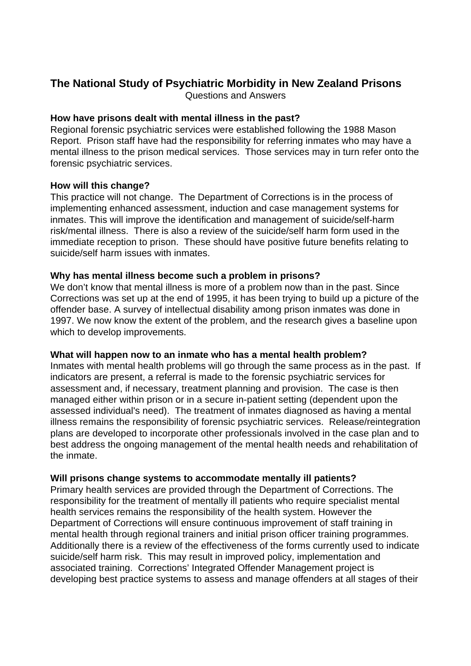# **The National Study of Psychiatric Morbidity in New Zealand Prisons**

Questions and Answers

#### **How have prisons dealt with mental illness in the past?**

Regional forensic psychiatric services were established following the 1988 Mason Report. Prison staff have had the responsibility for referring inmates who may have a mental illness to the prison medical services. Those services may in turn refer onto the forensic psychiatric services.

## **How will this change?**

This practice will not change. The Department of Corrections is in the process of implementing enhanced assessment, induction and case management systems for inmates. This will improve the identification and management of suicide/self-harm risk/mental illness. There is also a review of the suicide/self harm form used in the immediate reception to prison. These should have positive future benefits relating to suicide/self harm issues with inmates.

#### **Why has mental illness become such a problem in prisons?**

We don't know that mental illness is more of a problem now than in the past. Since Corrections was set up at the end of 1995, it has been trying to build up a picture of the offender base. A survey of intellectual disability among prison inmates was done in 1997. We now know the extent of the problem, and the research gives a baseline upon which to develop improvements.

#### **What will happen now to an inmate who has a mental health problem?**

Inmates with mental health problems will go through the same process as in the past. If indicators are present, a referral is made to the forensic psychiatric services for assessment and, if necessary, treatment planning and provision. The case is then managed either within prison or in a secure in-patient setting (dependent upon the assessed individual's need). The treatment of inmates diagnosed as having a mental illness remains the responsibility of forensic psychiatric services. Release/reintegration plans are developed to incorporate other professionals involved in the case plan and to best address the ongoing management of the mental health needs and rehabilitation of the inmate.

#### **Will prisons change systems to accommodate mentally ill patients?**

Primary health services are provided through the Department of Corrections. The responsibility for the treatment of mentally ill patients who require specialist mental health services remains the responsibility of the health system. However the Department of Corrections will ensure continuous improvement of staff training in mental health through regional trainers and initial prison officer training programmes. Additionally there is a review of the effectiveness of the forms currently used to indicate suicide/self harm risk. This may result in improved policy, implementation and associated training. Corrections' Integrated Offender Management project is developing best practice systems to assess and manage offenders at all stages of their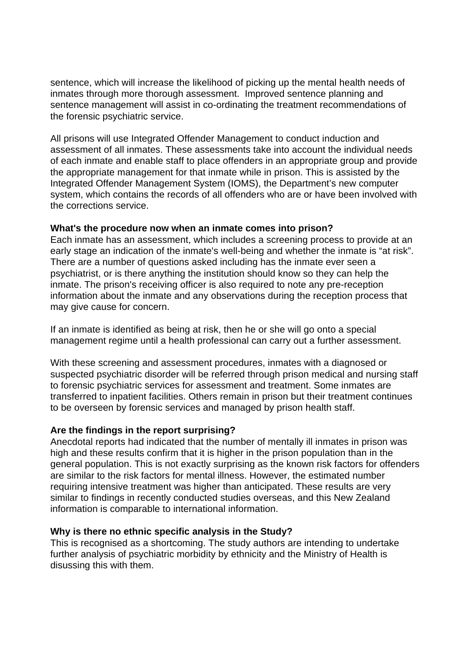sentence, which will increase the likelihood of picking up the mental health needs of inmates through more thorough assessment. Improved sentence planning and sentence management will assist in co-ordinating the treatment recommendations of the forensic psychiatric service.

All prisons will use Integrated Offender Management to conduct induction and assessment of all inmates. These assessments take into account the individual needs of each inmate and enable staff to place offenders in an appropriate group and provide the appropriate management for that inmate while in prison. This is assisted by the Integrated Offender Management System (IOMS), the Department's new computer system, which contains the records of all offenders who are or have been involved with the corrections service.

#### **What's the procedure now when an inmate comes into prison?**

Each inmate has an assessment, which includes a screening process to provide at an early stage an indication of the inmate's well-being and whether the inmate is "at risk". There are a number of questions asked including has the inmate ever seen a psychiatrist, or is there anything the institution should know so they can help the inmate. The prison's receiving officer is also required to note any pre-reception information about the inmate and any observations during the reception process that may give cause for concern.

If an inmate is identified as being at risk, then he or she will go onto a special management regime until a health professional can carry out a further assessment.

With these screening and assessment procedures, inmates with a diagnosed or suspected psychiatric disorder will be referred through prison medical and nursing staff to forensic psychiatric services for assessment and treatment. Some inmates are transferred to inpatient facilities. Others remain in prison but their treatment continues to be overseen by forensic services and managed by prison health staff.

#### **Are the findings in the report surprising?**

Anecdotal reports had indicated that the number of mentally ill inmates in prison was high and these results confirm that it is higher in the prison population than in the general population. This is not exactly surprising as the known risk factors for offenders are similar to the risk factors for mental illness. However, the estimated number requiring intensive treatment was higher than anticipated. These results are very similar to findings in recently conducted studies overseas, and this New Zealand information is comparable to international information.

#### **Why is there no ethnic specific analysis in the Study?**

This is recognised as a shortcoming. The study authors are intending to undertake further analysis of psychiatric morbidity by ethnicity and the Ministry of Health is disussing this with them.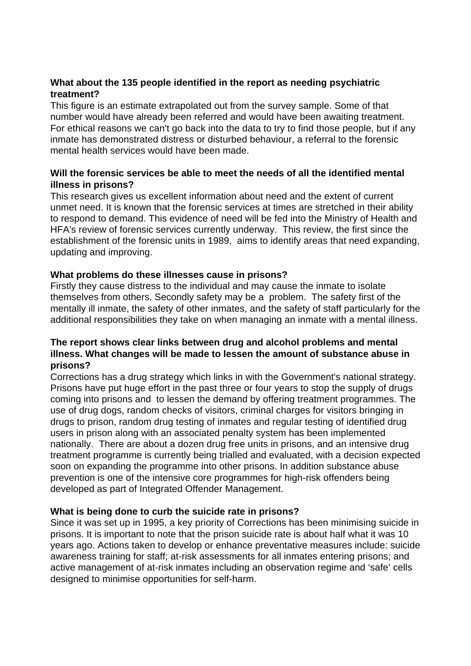## **What about the 135 people identified in the report as needing psychiatric treatment?**

This figure is an estimate extrapolated out from the survey sample. Some of that number would have already been referred and would have been awaiting treatment. For ethical reasons we can't go back into the data to try to find those people, but if any inmate has demonstrated distress or disturbed behaviour, a referral to the forensic mental health services would have been made.

## **Will the forensic services be able to meet the needs of all the identified mental illness in prisons?**

This research gives us excellent information about need and the extent of current unmet need. It is known that the forensic services at times are stretched in their ability to respond to demand. This evidence of need will be fed into the Ministry of Health and HFA's review of forensic services currently underway. This review, the first since the establishment of the forensic units in 1989, aims to identify areas that need expanding, updating and improving.

## **What problems do these illnesses cause in prisons?**

Firstly they cause distress to the individual and may cause the inmate to isolate themselves from others. Secondly safety may be a problem. The safety first of the mentally ill inmate, the safety of other inmates, and the safety of staff particularly for the additional responsibilities they take on when managing an inmate with a mental illness.

## **The report shows clear links between drug and alcohol problems and mental illness. What changes will be made to lessen the amount of substance abuse in prisons?**

Corrections has a drug strategy which links in with the Government's national strategy. Prisons have put huge effort in the past three or four years to stop the supply of drugs coming into prisons and to lessen the demand by offering treatment programmes. The use of drug dogs, random checks of visitors, criminal charges for visitors bringing in drugs to prison, random drug testing of inmates and regular testing of identified drug users in prison along with an associated penalty system has been implemented nationally. There are about a dozen drug free units in prisons, and an intensive drug treatment programme is currently being trialled and evaluated, with a decision expected soon on expanding the programme into other prisons. In addition substance abuse prevention is one of the intensive core programmes for high-risk offenders being developed as part of Integrated Offender Management.

#### **What is being done to curb the suicide rate in prisons?**

Since it was set up in 1995, a key priority of Corrections has been minimising suicide in prisons. It is important to note that the prison suicide rate is about half what it was 10 years ago. Actions taken to develop or enhance preventative measures include: suicide awareness training for staff; at-risk assessments for all inmates entering prisons; and active management of at-risk inmates including an observation regime and 'safe' cells designed to minimise opportunities for self-harm.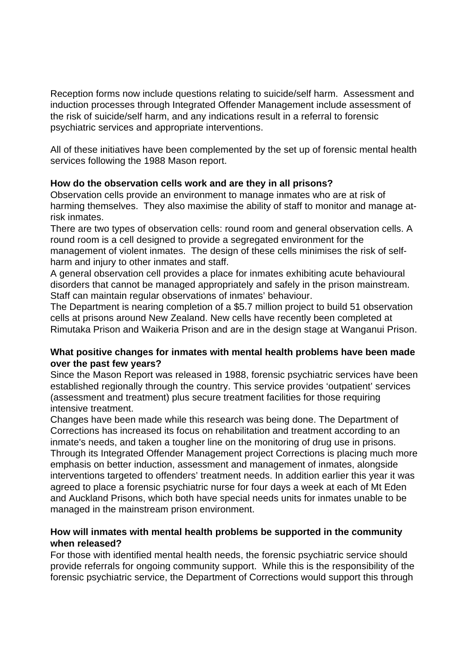Reception forms now include questions relating to suicide/self harm. Assessment and induction processes through Integrated Offender Management include assessment of the risk of suicide/self harm, and any indications result in a referral to forensic psychiatric services and appropriate interventions.

All of these initiatives have been complemented by the set up of forensic mental health services following the 1988 Mason report.

## **How do the observation cells work and are they in all prisons?**

Observation cells provide an environment to manage inmates who are at risk of harming themselves. They also maximise the ability of staff to monitor and manage atrisk inmates.

There are two types of observation cells: round room and general observation cells. A round room is a cell designed to provide a segregated environment for the management of violent inmates. The design of these cells minimises the risk of selfharm and injury to other inmates and staff.

A general observation cell provides a place for inmates exhibiting acute behavioural disorders that cannot be managed appropriately and safely in the prison mainstream. Staff can maintain regular observations of inmates' behaviour.

The Department is nearing completion of a \$5.7 million project to build 51 observation cells at prisons around New Zealand. New cells have recently been completed at Rimutaka Prison and Waikeria Prison and are in the design stage at Wanganui Prison.

## **What positive changes for inmates with mental health problems have been made over the past few years?**

Since the Mason Report was released in 1988, forensic psychiatric services have been established regionally through the country. This service provides 'outpatient' services (assessment and treatment) plus secure treatment facilities for those requiring intensive treatment.

Changes have been made while this research was being done. The Department of Corrections has increased its focus on rehabilitation and treatment according to an inmate's needs, and taken a tougher line on the monitoring of drug use in prisons. Through its Integrated Offender Management project Corrections is placing much more emphasis on better induction, assessment and management of inmates, alongside interventions targeted to offenders' treatment needs. In addition earlier this year it was agreed to place a forensic psychiatric nurse for four days a week at each of Mt Eden and Auckland Prisons, which both have special needs units for inmates unable to be managed in the mainstream prison environment.

## **How will inmates with mental health problems be supported in the community when released?**

For those with identified mental health needs, the forensic psychiatric service should provide referrals for ongoing community support. While this is the responsibility of the forensic psychiatric service, the Department of Corrections would support this through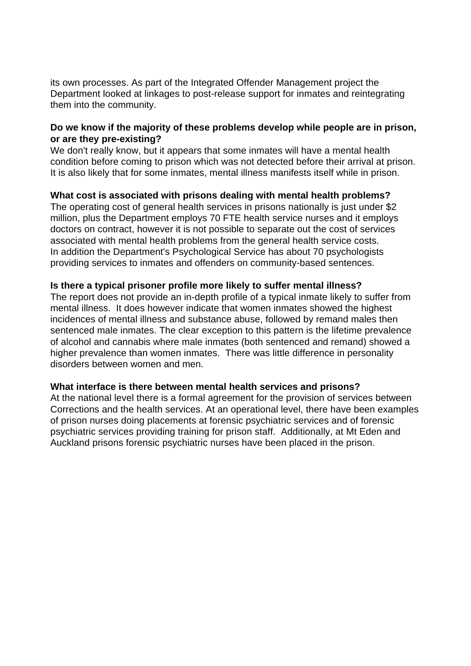its own processes. As part of the Integrated Offender Management project the Department looked at linkages to post-release support for inmates and reintegrating them into the community.

#### **Do we know if the majority of these problems develop while people are in prison, or are they pre-existing?**

We don't really know, but it appears that some inmates will have a mental health condition before coming to prison which was not detected before their arrival at prison. It is also likely that for some inmates, mental illness manifests itself while in prison.

#### **What cost is associated with prisons dealing with mental health problems?**

The operating cost of general health services in prisons nationally is just under \$2 million, plus the Department employs 70 FTE health service nurses and it employs doctors on contract, however it is not possible to separate out the cost of services associated with mental health problems from the general health service costs. In addition the Department's Psychological Service has about 70 psychologists providing services to inmates and offenders on community-based sentences.

## **Is there a typical prisoner profile more likely to suffer mental illness?**

The report does not provide an in-depth profile of a typical inmate likely to suffer from mental illness. It does however indicate that women inmates showed the highest incidences of mental illness and substance abuse, followed by remand males then sentenced male inmates. The clear exception to this pattern is the lifetime prevalence of alcohol and cannabis where male inmates (both sentenced and remand) showed a higher prevalence than women inmates. There was little difference in personality disorders between women and men.

#### **What interface is there between mental health services and prisons?**

At the national level there is a formal agreement for the provision of services between Corrections and the health services. At an operational level, there have been examples of prison nurses doing placements at forensic psychiatric services and of forensic psychiatric services providing training for prison staff. Additionally, at Mt Eden and Auckland prisons forensic psychiatric nurses have been placed in the prison.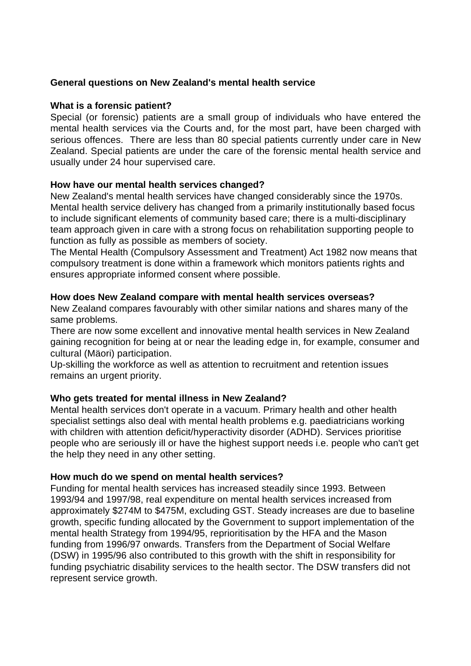#### **General questions on New Zealand's mental health service**

#### **What is a forensic patient?**

Special (or forensic) patients are a small group of individuals who have entered the mental health services via the Courts and, for the most part, have been charged with serious offences. There are less than 80 special patients currently under care in New Zealand. Special patients are under the care of the forensic mental health service and usually under 24 hour supervised care.

## **How have our mental health services changed?**

New Zealand's mental health services have changed considerably since the 1970s. Mental health service delivery has changed from a primarily institutionally based focus to include significant elements of community based care; there is a multi-disciplinary team approach given in care with a strong focus on rehabilitation supporting people to function as fully as possible as members of society.

The Mental Health (Compulsory Assessment and Treatment) Act 1982 now means that compulsory treatment is done within a framework which monitors patients rights and ensures appropriate informed consent where possible.

## **How does New Zealand compare with mental health services overseas?**

New Zealand compares favourably with other similar nations and shares many of the same problems.

There are now some excellent and innovative mental health services in New Zealand gaining recognition for being at or near the leading edge in, for example, consumer and cultural (Mäori) participation.

Up-skilling the workforce as well as attention to recruitment and retention issues remains an urgent priority.

## **Who gets treated for mental illness in New Zealand?**

Mental health services don't operate in a vacuum. Primary health and other health specialist settings also deal with mental health problems e.g. paediatricians working with children with attention deficit/hyperactivity disorder (ADHD). Services prioritise people who are seriously ill or have the highest support needs i.e. people who can't get the help they need in any other setting.

#### **How much do we spend on mental health services?**

Funding for mental health services has increased steadily since 1993. Between 1993/94 and 1997/98, real expenditure on mental health services increased from approximately \$274M to \$475M, excluding GST. Steady increases are due to baseline growth, specific funding allocated by the Government to support implementation of the mental health Strategy from 1994/95, reprioritisation by the HFA and the Mason funding from 1996/97 onwards. Transfers from the Department of Social Welfare (DSW) in 1995/96 also contributed to this growth with the shift in responsibility for funding psychiatric disability services to the health sector. The DSW transfers did not represent service growth.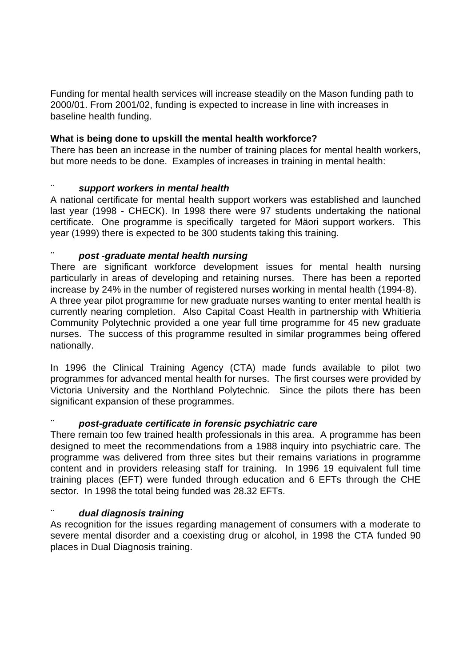Funding for mental health services will increase steadily on the Mason funding path to 2000/01. From 2001/02, funding is expected to increase in line with increases in baseline health funding.

## **What is being done to upskill the mental health workforce?**

There has been an increase in the number of training places for mental health workers, but more needs to be done. Examples of increases in training in mental health:

## *¨ support workers in mental health*

A national certificate for mental health support workers was established and launched last year (1998 - CHECK). In 1998 there were 97 students undertaking the national certificate. One programme is specifically targeted for Mäori support workers. This year (1999) there is expected to be 300 students taking this training.

## *¨ post -graduate mental health nursing*

There are significant workforce development issues for mental health nursing particularly in areas of developing and retaining nurses. There has been a reported increase by 24% in the number of registered nurses working in mental health (1994-8). A three year pilot programme for new graduate nurses wanting to enter mental health is currently nearing completion. Also Capital Coast Health in partnership with Whitieria Community Polytechnic provided a one year full time programme for 45 new graduate nurses. The success of this programme resulted in similar programmes being offered nationally.

In 1996 the Clinical Training Agency (CTA) made funds available to pilot two programmes for advanced mental health for nurses. The first courses were provided by Victoria University and the Northland Polytechnic. Since the pilots there has been significant expansion of these programmes.

## *¨ post-graduate certificate in forensic psychiatric care*

There remain too few trained health professionals in this area. A programme has been designed to meet the recommendations from a 1988 inquiry into psychiatric care. The programme was delivered from three sites but their remains variations in programme content and in providers releasing staff for training. In 1996 19 equivalent full time training places (EFT) were funded through education and 6 EFTs through the CHE sector. In 1998 the total being funded was 28.32 EFTs.

## *¨ dual diagnosis training*

As recognition for the issues regarding management of consumers with a moderate to severe mental disorder and a coexisting drug or alcohol, in 1998 the CTA funded 90 places in Dual Diagnosis training.